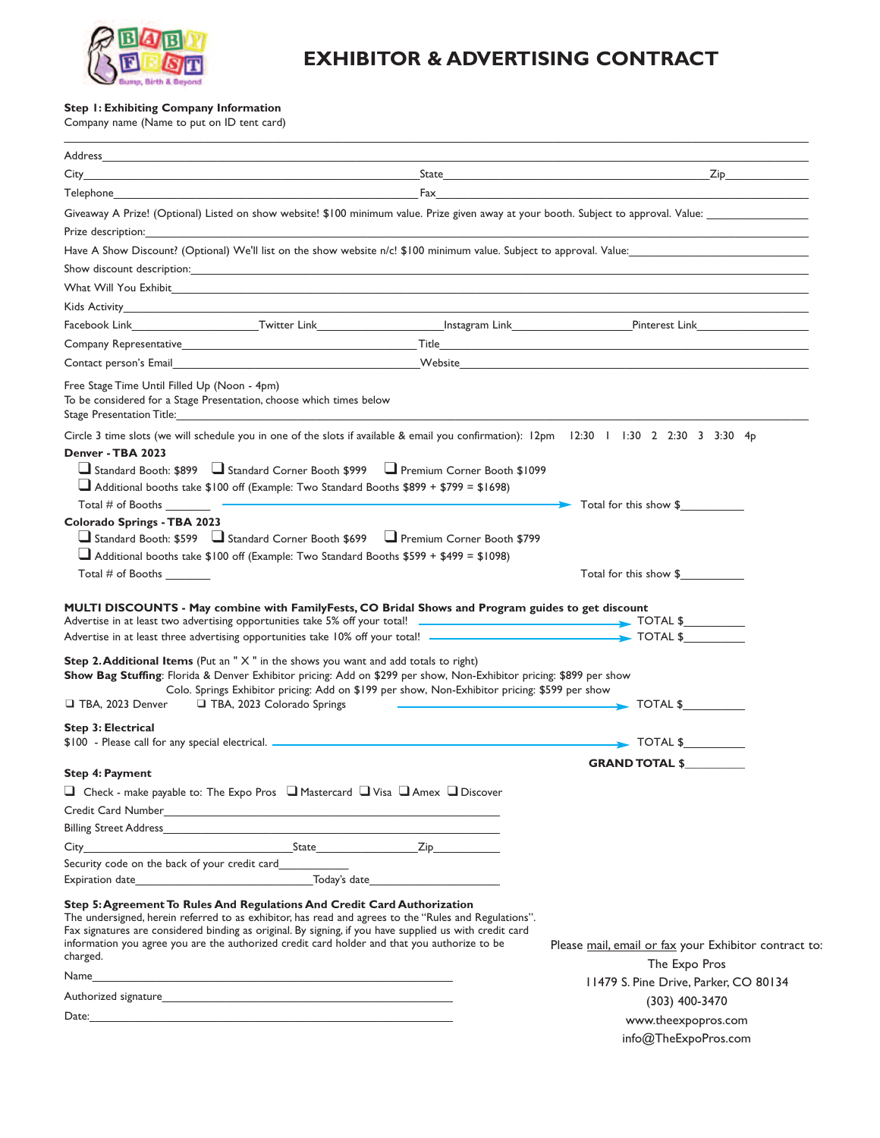

## **EXHIBITOR & ADVERTISING CONTRACT**

\_\_\_\_\_\_\_\_\_\_\_\_\_\_\_\_\_\_\_\_\_\_\_\_\_\_\_\_\_\_\_\_\_\_\_\_\_\_\_\_\_\_\_\_\_\_\_\_\_\_\_\_\_\_\_\_\_\_\_\_\_\_\_\_\_\_\_\_\_\_\_\_\_\_\_\_\_\_\_\_\_\_\_\_\_\_\_\_\_\_\_\_\_\_\_\_\_\_\_\_\_\_\_\_\_\_\_\_\_\_\_\_\_\_\_\_\_\_\_

## **Step 1: Exhibiting Company Information**

Company name (Name to put on ID tent card)

| $City$ <sub>___</sub>                         |                                                                                                                                                                                                                                                                                                                                                                                              | Zip <b>Exercise Structure</b>                                                                                                                                                                                                        |
|-----------------------------------------------|----------------------------------------------------------------------------------------------------------------------------------------------------------------------------------------------------------------------------------------------------------------------------------------------------------------------------------------------------------------------------------------------|--------------------------------------------------------------------------------------------------------------------------------------------------------------------------------------------------------------------------------------|
|                                               |                                                                                                                                                                                                                                                                                                                                                                                              | Fax <b>Executive Community Community</b> Contract Community Community Community Community Community Community Community                                                                                                              |
|                                               |                                                                                                                                                                                                                                                                                                                                                                                              | Giveaway A Prize! (Optional) Listed on show website! \$100 minimum value. Prize given away at your booth. Subject to approval. Value:                                                                                                |
|                                               |                                                                                                                                                                                                                                                                                                                                                                                              |                                                                                                                                                                                                                                      |
|                                               |                                                                                                                                                                                                                                                                                                                                                                                              | Have A Show Discount? (Optional) We'll list on the show website n/c! \$100 minimum value. Subject to approval. Value:                                                                                                                |
|                                               |                                                                                                                                                                                                                                                                                                                                                                                              |                                                                                                                                                                                                                                      |
|                                               | What Will You Exhibit <b>Example 2008</b>                                                                                                                                                                                                                                                                                                                                                    |                                                                                                                                                                                                                                      |
|                                               | Kids Activity <b>Activity</b> and the contract of the contract of the contract of the contract of the contract of the contract of the contract of the contract of the contract of the contract of the contract of the contract of t                                                                                                                                                          |                                                                                                                                                                                                                                      |
|                                               |                                                                                                                                                                                                                                                                                                                                                                                              |                                                                                                                                                                                                                                      |
|                                               |                                                                                                                                                                                                                                                                                                                                                                                              | Company Representative <b>Company Representative Company Company Representative Company Representative Company Representative Company Representative Company Company Representative Company Company Company Company Company Comp</b> |
|                                               |                                                                                                                                                                                                                                                                                                                                                                                              | Contact person's Email experience and the contract of the Contact person's Email experience of the Contact person's Email experience of the Contact person is a series of the Contact person in the Contact of the Contact of        |
| Free Stage Time Until Filled Up (Noon - 4pm)  | To be considered for a Stage Presentation, choose which times below<br>Stage Presentation Title: Stage Stage Stage Stage Stage Stage Stage Stage Stage Stage Stage Stage St                                                                                                                                                                                                                  |                                                                                                                                                                                                                                      |
| Denver - TBA 2023                             | Standard Booth: \$899 Standard Corner Booth \$999 SPremium Corner Booth \$1099<br>$\Box$ Additional booths take \$100 off (Example: Two Standard Booths \$899 + \$799 = \$1698)                                                                                                                                                                                                              | Circle 3 time slots (we will schedule you in one of the slots if available & email you confirmation): 12pm 12:30 1 1:30 2 2:30 3 3:30 4p<br>Total for this show \$                                                                   |
| Colorado Springs - TBA 2023                   |                                                                                                                                                                                                                                                                                                                                                                                              |                                                                                                                                                                                                                                      |
|                                               | Standard Booth: \$599 J Standard Corner Booth \$699 J Premium Corner Booth \$799                                                                                                                                                                                                                                                                                                             |                                                                                                                                                                                                                                      |
|                                               | $\Box$ Additional booths take \$100 off (Example: Two Standard Booths \$599 + \$499 = \$1098)                                                                                                                                                                                                                                                                                                |                                                                                                                                                                                                                                      |
|                                               |                                                                                                                                                                                                                                                                                                                                                                                              | Total for this show \$                                                                                                                                                                                                               |
|                                               | MULTI DISCOUNTS - May combine with FamilyFests, CO Bridal Shows and Program guides to get discount                                                                                                                                                                                                                                                                                           |                                                                                                                                                                                                                                      |
| TBA, 2023 Denver                              | <b>Step 2. Additional Items</b> (Put an " $X$ " in the shows you want and add totals to right)<br>Show Bag Stuffing: Florida & Denver Exhibitor pricing: Add on \$299 per show, Non-Exhibitor pricing: \$899 per show<br>Colo. Springs Exhibitor pricing: Add on \$199 per show, Non-Exhibitor pricing: \$599 per show<br>TBA, 2023 Colorado Springs                                         | $\longrightarrow$ TOTAL \$                                                                                                                                                                                                           |
| Step 3: Electrical                            |                                                                                                                                                                                                                                                                                                                                                                                              | $\overline{\phantom{1}}$ TOTAL \$                                                                                                                                                                                                    |
|                                               |                                                                                                                                                                                                                                                                                                                                                                                              | <b>GRAND TOTAL \$</b>                                                                                                                                                                                                                |
| <b>Step 4: Payment</b>                        | □ Check - make payable to: The Expo Pros □ Mastercard □ Visa □ Amex □ Discover                                                                                                                                                                                                                                                                                                               |                                                                                                                                                                                                                                      |
|                                               |                                                                                                                                                                                                                                                                                                                                                                                              |                                                                                                                                                                                                                                      |
|                                               | Billing Street Address and the state of the state of the state of the state of the state of the state of the state of the state of the state of the state of the state of the state of the state of the state of the state of                                                                                                                                                                |                                                                                                                                                                                                                                      |
|                                               | City State State Zip                                                                                                                                                                                                                                                                                                                                                                         |                                                                                                                                                                                                                                      |
| Security code on the back of your credit card |                                                                                                                                                                                                                                                                                                                                                                                              |                                                                                                                                                                                                                                      |
|                                               |                                                                                                                                                                                                                                                                                                                                                                                              |                                                                                                                                                                                                                                      |
| charged.                                      | Step 5: Agreement To Rules And Regulations And Credit Card Authorization<br>The undersigned, herein referred to as exhibitor, has read and agrees to the "Rules and Regulations".<br>Fax signatures are considered binding as original. By signing, if you have supplied us with credit card<br>information you agree you are the authorized credit card holder and that you authorize to be | Please mail, email or fax your Exhibitor contract to:<br>The Expo Pros                                                                                                                                                               |
| Name                                          |                                                                                                                                                                                                                                                                                                                                                                                              | 11479 S. Pine Drive, Parker, CO 80134                                                                                                                                                                                                |
|                                               |                                                                                                                                                                                                                                                                                                                                                                                              | (303) 400-3470                                                                                                                                                                                                                       |
|                                               |                                                                                                                                                                                                                                                                                                                                                                                              | www.theexpopros.com                                                                                                                                                                                                                  |
|                                               |                                                                                                                                                                                                                                                                                                                                                                                              | info@TheExpoPros.com                                                                                                                                                                                                                 |